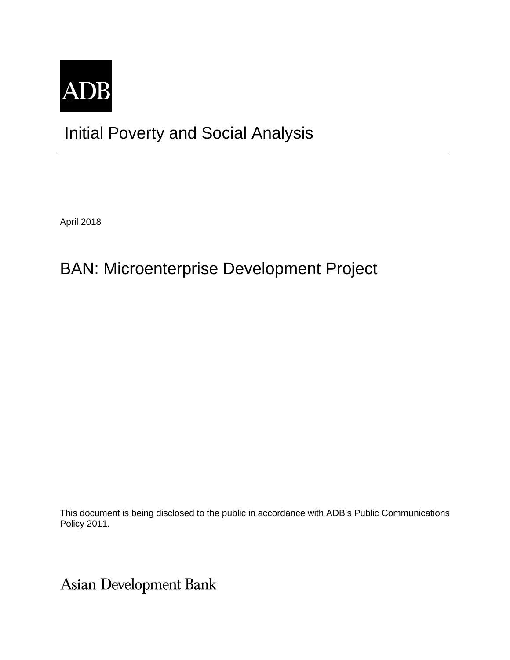

## Initial Poverty and Social Analysis

April 2018

# BAN: Microenterprise Development Project

This document is being disclosed to the public in accordance with ADB's Public Communications Policy 2011.

Asian Development Bank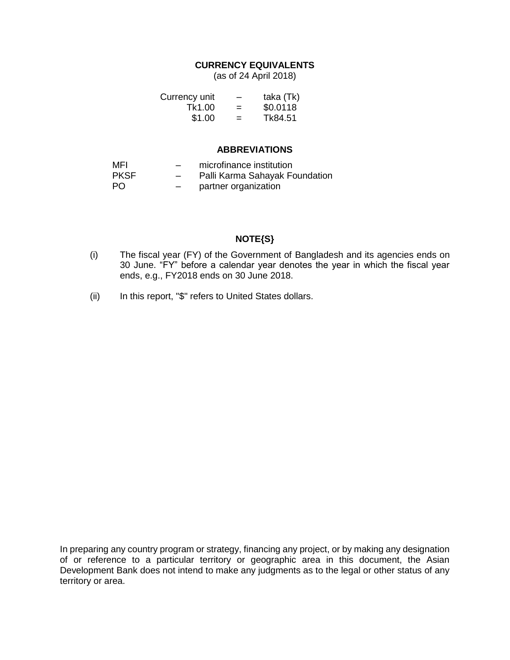## **CURRENCY EQUIVALENTS**

(as of 24 April 2018)

| Currency unit | -   | taka (Tk) |
|---------------|-----|-----------|
| Tk1.00        | $=$ | \$0.0118  |
| \$1.00        | $=$ | Tk84.51   |

### **ABBREVIATIONS**

| MFI         | $-$                      | microfinance institution       |
|-------------|--------------------------|--------------------------------|
| <b>PKSF</b> | $\overline{\phantom{0}}$ | Palli Karma Sahayak Foundation |
| - PO        | $-$                      | partner organization           |

## **NOTE{S}**

- (i) The fiscal year (FY) of the Government of Bangladesh and its agencies ends on 30 June. "FY" before a calendar year denotes the year in which the fiscal year ends, e.g., FY2018 ends on 30 June 2018.
- (ii) In this report, "\$" refers to United States dollars.

In preparing any country program or strategy, financing any project, or by making any designation of or reference to a particular territory or geographic area in this document, the Asian Development Bank does not intend to make any judgments as to the legal or other status of any territory or area.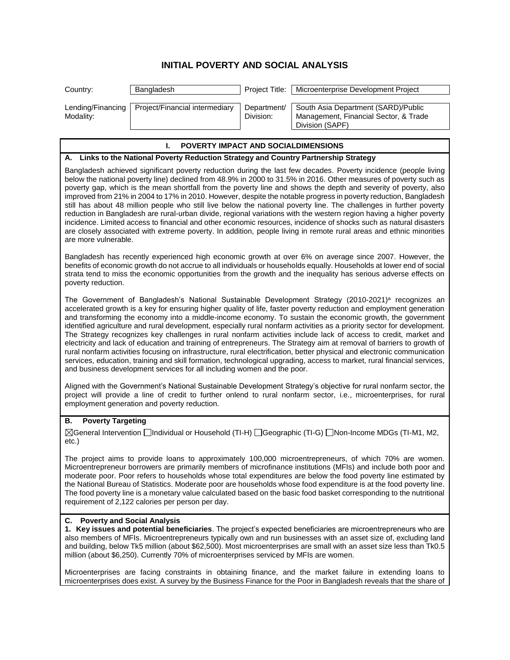## **INITIAL POVERTY AND SOCIAL ANALYSIS**

| Country:                                                                                                                                                                                                                                                                                                                                                                                                                                                                                                                                                                                                                                                                                                                                                                                                                                                                                                                                                                                                                                                     | Bangladesh                                                                             | Project Title:           | Microenterprise Development Project                                                                                                                                                                                                                                                                                                                                                                                                                                                                                                                                                        |  |
|--------------------------------------------------------------------------------------------------------------------------------------------------------------------------------------------------------------------------------------------------------------------------------------------------------------------------------------------------------------------------------------------------------------------------------------------------------------------------------------------------------------------------------------------------------------------------------------------------------------------------------------------------------------------------------------------------------------------------------------------------------------------------------------------------------------------------------------------------------------------------------------------------------------------------------------------------------------------------------------------------------------------------------------------------------------|----------------------------------------------------------------------------------------|--------------------------|--------------------------------------------------------------------------------------------------------------------------------------------------------------------------------------------------------------------------------------------------------------------------------------------------------------------------------------------------------------------------------------------------------------------------------------------------------------------------------------------------------------------------------------------------------------------------------------------|--|
| Lending/Financing<br>Modality:                                                                                                                                                                                                                                                                                                                                                                                                                                                                                                                                                                                                                                                                                                                                                                                                                                                                                                                                                                                                                               | Project/Financial intermediary                                                         | Department/<br>Division: | South Asia Department (SARD)/Public<br>Management, Financial Sector, & Trade<br>Division (SAPF)                                                                                                                                                                                                                                                                                                                                                                                                                                                                                            |  |
|                                                                                                                                                                                                                                                                                                                                                                                                                                                                                                                                                                                                                                                                                                                                                                                                                                                                                                                                                                                                                                                              | POVERTY IMPACT AND SOCIALDIMENSIONS<br>ı.                                              |                          |                                                                                                                                                                                                                                                                                                                                                                                                                                                                                                                                                                                            |  |
|                                                                                                                                                                                                                                                                                                                                                                                                                                                                                                                                                                                                                                                                                                                                                                                                                                                                                                                                                                                                                                                              | A. Links to the National Poverty Reduction Strategy and Country Partnership Strategy   |                          |                                                                                                                                                                                                                                                                                                                                                                                                                                                                                                                                                                                            |  |
| Bangladesh achieved significant poverty reduction during the last few decades. Poverty incidence (people living<br>below the national poverty line) declined from 48.9% in 2000 to 31.5% in 2016. Other measures of poverty such as<br>poverty gap, which is the mean shortfall from the poverty line and shows the depth and severity of poverty, also<br>improved from 21% in 2004 to 17% in 2010. However, despite the notable progress in poverty reduction, Bangladesh<br>still has about 48 million people who still live below the national poverty line. The challenges in further poverty<br>reduction in Bangladesh are rural-urban divide, regional variations with the western region having a higher poverty<br>incidence. Limited access to financial and other economic resources, incidence of shocks such as natural disasters<br>are closely associated with extreme poverty. In addition, people living in remote rural areas and ethnic minorities<br>are more vulnerable.                                                               |                                                                                        |                          |                                                                                                                                                                                                                                                                                                                                                                                                                                                                                                                                                                                            |  |
| Bangladesh has recently experienced high economic growth at over 6% on average since 2007. However, the<br>benefits of economic growth do not accrue to all individuals or households equally. Households at lower end of social<br>strata tend to miss the economic opportunities from the growth and the inequality has serious adverse effects on<br>poverty reduction.                                                                                                                                                                                                                                                                                                                                                                                                                                                                                                                                                                                                                                                                                   |                                                                                        |                          |                                                                                                                                                                                                                                                                                                                                                                                                                                                                                                                                                                                            |  |
| The Government of Bangladesh's National Sustainable Development Strategy (2010-2021) <sup>a</sup> recognizes an<br>accelerated growth is a key for ensuring higher quality of life, faster poverty reduction and employment generation<br>and transforming the economy into a middle-income economy. To sustain the economic growth, the government<br>identified agriculture and rural development, especially rural nonfarm activities as a priority sector for development.<br>The Strategy recognizes key challenges in rural nonfarm activities include lack of access to credit, market and<br>electricity and lack of education and training of entrepreneurs. The Strategy aim at removal of barriers to growth of<br>rural nonfarm activities focusing on infrastructure, rural electrification, better physical and electronic communication<br>services, education, training and skill formation, technological upgrading, access to market, rural financial services,<br>and business development services for all including women and the poor. |                                                                                        |                          |                                                                                                                                                                                                                                                                                                                                                                                                                                                                                                                                                                                            |  |
| Aligned with the Government's National Sustainable Development Strategy's objective for rural nonfarm sector, the<br>project will provide a line of credit to further onlend to rural nonfarm sector, i.e., microenterprises, for rural<br>employment generation and poverty reduction.                                                                                                                                                                                                                                                                                                                                                                                                                                                                                                                                                                                                                                                                                                                                                                      |                                                                                        |                          |                                                                                                                                                                                                                                                                                                                                                                                                                                                                                                                                                                                            |  |
| <b>Poverty Targeting</b><br>В.                                                                                                                                                                                                                                                                                                                                                                                                                                                                                                                                                                                                                                                                                                                                                                                                                                                                                                                                                                                                                               |                                                                                        |                          |                                                                                                                                                                                                                                                                                                                                                                                                                                                                                                                                                                                            |  |
| $etc.$ )                                                                                                                                                                                                                                                                                                                                                                                                                                                                                                                                                                                                                                                                                                                                                                                                                                                                                                                                                                                                                                                     |                                                                                        |                          | ⊠General Intervention Individual or Household (TI-H) IGeographic (TI-G) INon-Income MDGs (TI-M1, M2,                                                                                                                                                                                                                                                                                                                                                                                                                                                                                       |  |
|                                                                                                                                                                                                                                                                                                                                                                                                                                                                                                                                                                                                                                                                                                                                                                                                                                                                                                                                                                                                                                                              | requirement of 2,122 calories per person per day.                                      |                          | The project aims to provide loans to approximately 100,000 microentrepreneurs, of which 70% are women.<br>Microentrepreneur borrowers are primarily members of microfinance institutions (MFIs) and include both poor and<br>moderate poor. Poor refers to households whose total expenditures are below the food poverty line estimated by<br>the National Bureau of Statistics. Moderate poor are households whose food expenditure is at the food poverty line.<br>The food poverty line is a monetary value calculated based on the basic food basket corresponding to the nutritional |  |
| C. Poverty and Social Analysis                                                                                                                                                                                                                                                                                                                                                                                                                                                                                                                                                                                                                                                                                                                                                                                                                                                                                                                                                                                                                               | million (about \$6,250). Currently 70% of microenterprises serviced by MFIs are women. |                          | 1. Key issues and potential beneficiaries. The project's expected beneficiaries are microentrepreneurs who are<br>also members of MFIs. Microentrepreneurs typically own and run businesses with an asset size of, excluding land<br>and building, below Tk5 million (about \$62,500). Most microenterprises are small with an asset size less than Tk0.5                                                                                                                                                                                                                                  |  |

Microenterprises are facing constraints in obtaining finance, and the market failure in extending loans to microenterprises does exist. A survey by the Business Finance for the Poor in Bangladesh reveals that the share of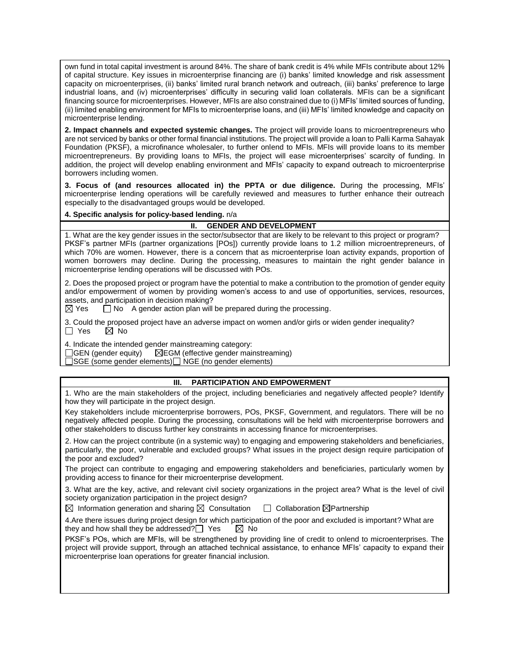own fund in total capital investment is around 84%. The share of bank credit is 4% while MFIs contribute about 12% of capital structure. Key issues in microenterprise financing are (i) banks' limited knowledge and risk assessment capacity on microenterprises, (ii) banks' limited rural branch network and outreach, (iii) banks' preference to large industrial loans, and (iv) microenterprises' difficulty in securing valid loan collaterals. MFIs can be a significant financing source for microenterprises. However, MFIs are also constrained due to (i) MFIs' limited sources of funding, (ii) limited enabling environment for MFIs to microenterprise loans, and (iii) MFIs' limited knowledge and capacity on microenterprise lending.

**2. Impact channels and expected systemic changes.** The project will provide loans to microentrepreneurs who are not serviced by banks or other formal financial institutions. The project will provide a loan to Palli Karma Sahayak Foundation (PKSF), a microfinance wholesaler, to further onlend to MFIs. MFIs will provide loans to its member microentrepreneurs. By providing loans to MFIs, the project will ease microenterprises' scarcity of funding. In addition, the project will develop enabling environment and MFIs' capacity to expand outreach to microenterprise borrowers including women.

**3. Focus of (and resources allocated in) the PPTA or due diligence.** During the processing, MFIs' microenterprise lending operations will be carefully reviewed and measures to further enhance their outreach especially to the disadvantaged groups would be developed.

#### **4. Specific analysis for policy-based lending.** n/a

#### **II. GENDER AND DEVELOPMENT**

1. What are the key gender issues in the sector/subsector that are likely to be relevant to this project or program? PKSF's partner MFIs (partner organizations [POs]) currently provide loans to 1.2 million microentrepreneurs, of which 70% are women. However, there is a concern that as microenterprise loan activity expands, proportion of women borrowers may decline. During the processing, measures to maintain the right gender balance in microenterprise lending operations will be discussed with POs.

2. Does the proposed project or program have the potential to make a contribution to the promotion of gender equity and/or empowerment of women by providing women's access to and use of opportunities, services, resources, assets, and participation in decision making?

 $\boxtimes$  Yes  $\Box$  No A gender action plan will be prepared during the processing.

3. Could the proposed project have an adverse impact on women and/or girls or widen gender inequality?<br>  $\Box$  Yes  $\Box$  No  $\boxtimes$  No

4. Indicate the intended gender mainstreaming category:<br>  $\Box$ GEN (gender equity)  $\Box$ EGM (effective gender main

 $\boxtimes$ EGM (effective gender mainstreaming)

□SGE (some gender elements) □ NGE (no gender elements)

### **III. PARTICIPATION AND EMPOWERMENT**

1. Who are the main stakeholders of the project, including beneficiaries and negatively affected people? Identify how they will participate in the project design.

Key stakeholders include microenterprise borrowers, POs, PKSF, Government, and regulators. There will be no negatively affected people. During the processing, consultations will be held with microenterprise borrowers and other stakeholders to discuss further key constraints in accessing finance for microenterprises.

2. How can the project contribute (in a systemic way) to engaging and empowering stakeholders and beneficiaries, particularly, the poor, vulnerable and excluded groups? What issues in the project design require participation of the poor and excluded?

The project can contribute to engaging and empowering stakeholders and beneficiaries, particularly women by providing access to finance for their microenterprise development.

3. What are the key, active, and relevant civil society organizations in the project area? What is the level of civil society organization participation in the project design?

 $\boxtimes$  Information generation and sharing  $\boxtimes$  Consultation  $\Box$  Collaboration  $\boxtimes$  Partnership

4.Are there issues during project design for which participation of the poor and excluded is important? What are they and how shall they be addressed?  $\Box$  Yes  $\Box$  No

PKSF's POs, which are MFIs, will be strengthened by providing line of credit to onlend to microenterprises. The project will provide support, through an attached technical assistance, to enhance MFIs' capacity to expand their microenterprise loan operations for greater financial inclusion.